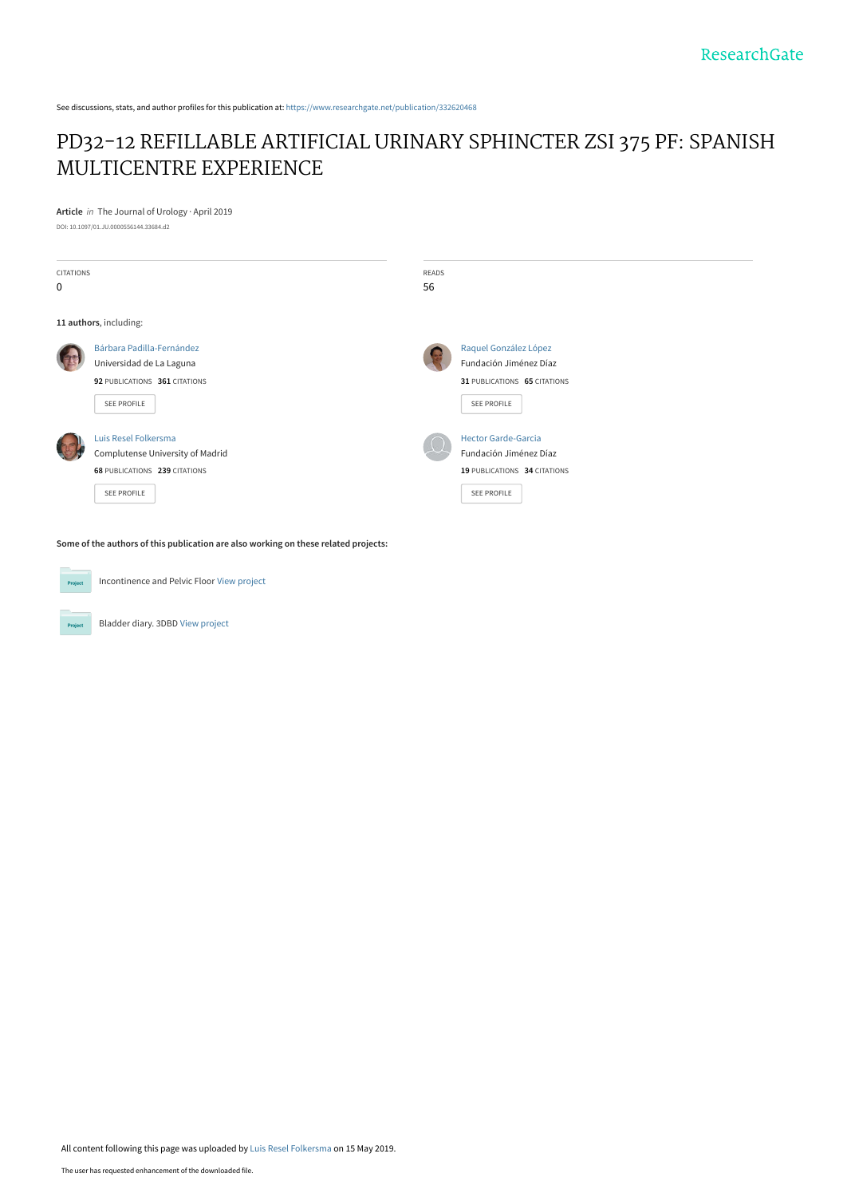See discussions, stats, and author profiles for this publication at: [https://www.researchgate.net/publication/332620468](https://www.researchgate.net/publication/332620468_PD32-12_REFILLABLE_ARTIFICIAL_URINARY_SPHINCTER_ZSI_375_PF_SPANISH_MULTICENTRE_EXPERIENCE?enrichId=rgreq-d95e160b59bf33d9fafd36d31f178cbc-XXX&enrichSource=Y292ZXJQYWdlOzMzMjYyMDQ2ODtBUzo3NTg3NjAzMTQyNjU2MDBAMTU1NzkxMzk2NDUyMQ%3D%3D&el=1_x_2&_esc=publicationCoverPdf)

## [PD32-12 REFILLABLE ARTIFICIAL URINARY SPHINCTER ZSI 375 PF: SPANISH](https://www.researchgate.net/publication/332620468_PD32-12_REFILLABLE_ARTIFICIAL_URINARY_SPHINCTER_ZSI_375_PF_SPANISH_MULTICENTRE_EXPERIENCE?enrichId=rgreq-d95e160b59bf33d9fafd36d31f178cbc-XXX&enrichSource=Y292ZXJQYWdlOzMzMjYyMDQ2ODtBUzo3NTg3NjAzMTQyNjU2MDBAMTU1NzkxMzk2NDUyMQ%3D%3D&el=1_x_3&_esc=publicationCoverPdf) MULTICENTRE EXPERIENCE

**Article** in The Journal of Urology · April 2019 DOI: 10.1097/01.JU.0000556144.33684.d2

| <b>CITATIONS</b><br>$\mathbf 0$ |                                                                                                                 | <b>READS</b><br>56 |                                                                                                            |
|---------------------------------|-----------------------------------------------------------------------------------------------------------------|--------------------|------------------------------------------------------------------------------------------------------------|
|                                 | 11 authors, including:                                                                                          |                    |                                                                                                            |
|                                 | Bárbara Padilla-Fernández<br>Universidad de La Laguna<br>92 PUBLICATIONS 361 CITATIONS<br><b>SEE PROFILE</b>    |                    | Raquel González López<br>Fundación Jiménez Díaz<br>31 PUBLICATIONS 65 CITATIONS<br>SEE PROFILE             |
|                                 | Luis Resel Folkersma<br>Complutense University of Madrid<br>68 PUBLICATIONS 239 CITATIONS<br><b>SEE PROFILE</b> |                    | <b>Hector Garde-Garcia</b><br>Fundación Jiménez Díaz<br>19 PUBLICATIONS 34 CITATIONS<br><b>SEE PROFILE</b> |

**Some of the authors of this publication are also working on these related projects:**

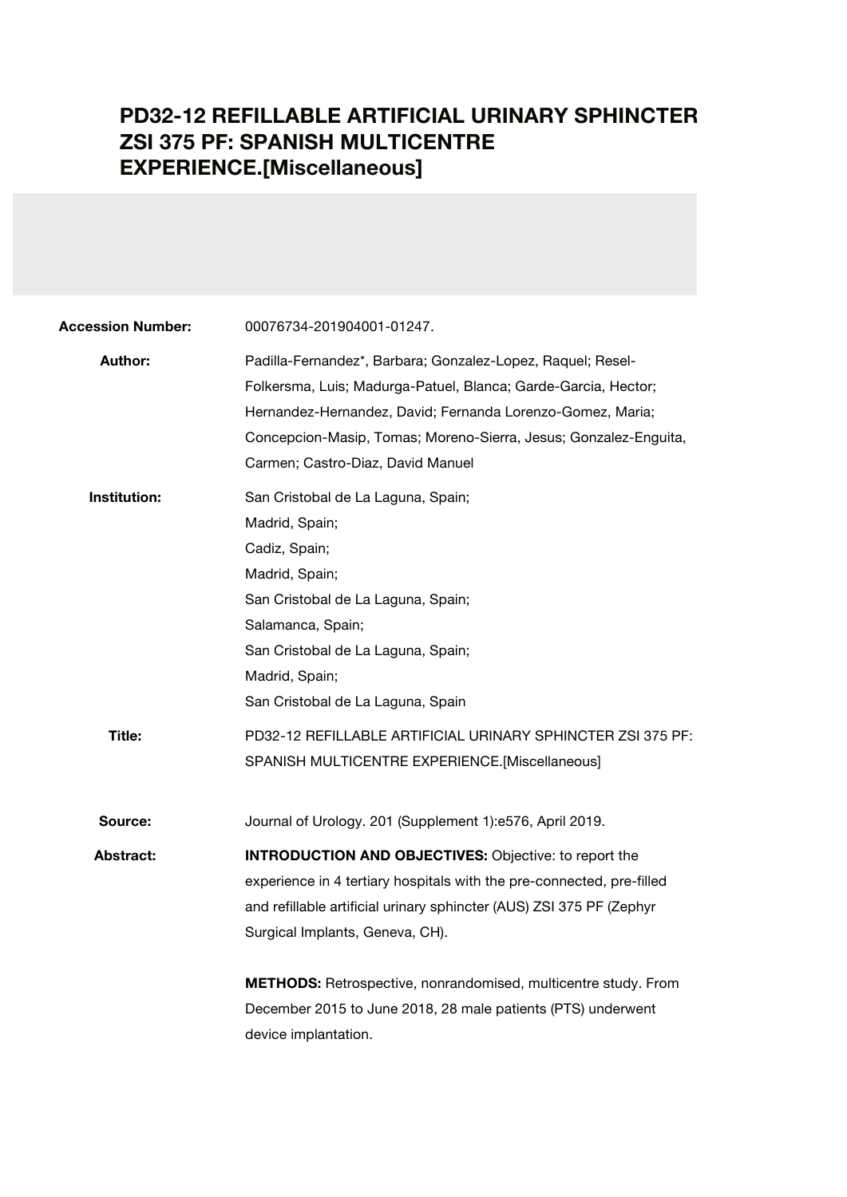## **PD32-12 REFILLABLE ARTIFICIAL URINARY SPHINCTER ZSI 375 PF: SPANISH MULTICENTRE EXPERIENCE.[Miscellaneous]**

| <b>Accession Number:</b> | 00076734-201904001-01247.                                                                                                                                                                                                                                                                            |  |  |
|--------------------------|------------------------------------------------------------------------------------------------------------------------------------------------------------------------------------------------------------------------------------------------------------------------------------------------------|--|--|
| Author:                  | Padilla-Fernandez*, Barbara; Gonzalez-Lopez, Raquel; Resel-<br>Folkersma, Luis; Madurga-Patuel, Blanca; Garde-Garcia, Hector;<br>Hernandez-Hernandez, David; Fernanda Lorenzo-Gomez, Maria;<br>Concepcion-Masip, Tomas; Moreno-Sierra, Jesus; Gonzalez-Enguita,<br>Carmen; Castro-Diaz, David Manuel |  |  |
| Institution:             | San Cristobal de La Laguna, Spain;<br>Madrid, Spain;<br>Cadiz, Spain;<br>Madrid, Spain;<br>San Cristobal de La Laguna, Spain;<br>Salamanca, Spain;<br>San Cristobal de La Laguna, Spain;<br>Madrid, Spain;<br>San Cristobal de La Laguna, Spain                                                      |  |  |
| Title:                   | PD32-12 REFILLABLE ARTIFICIAL URINARY SPHINCTER ZSI 375 PF:<br>SPANISH MULTICENTRE EXPERIENCE.[Miscellaneous]                                                                                                                                                                                        |  |  |
| Source:                  | Journal of Urology. 201 (Supplement 1):e576, April 2019.                                                                                                                                                                                                                                             |  |  |
| Abstract:                | <b>INTRODUCTION AND OBJECTIVES:</b> Objective: to report the<br>experience in 4 tertiary hospitals with the pre-connected, pre-filled<br>and refillable artificial urinary sphincter (AUS) ZSI 375 PF (Zephyr<br>Surgical Implants, Geneva, CH).                                                     |  |  |
|                          | METHODS: Retrospective, nonrandomised, multicentre study. From<br>December 2015 to June 2018, 28 male patients (PTS) underwent<br>device implantation.                                                                                                                                               |  |  |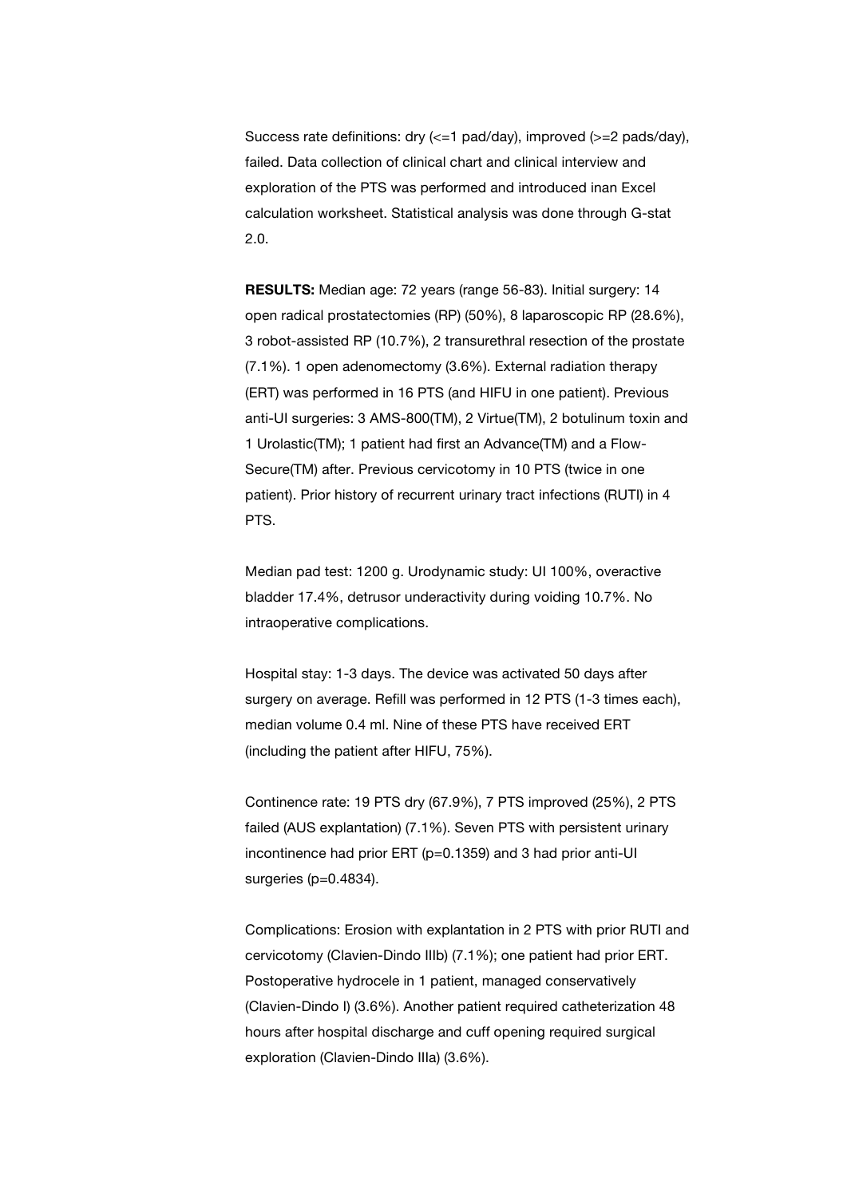Success rate definitions: dry (<=1 pad/day), improved (>=2 pads/day), failed. Data collection of clinical chart and clinical interview and exploration of the PTS was performed and introduced inan Excel calculation worksheet. Statistical analysis was done through G-stat 2.0.

**RESULTS:** Median age: 72 years (range 56-83). Initial surgery: 14 open radical prostatectomies (RP) (50%), 8 laparoscopic RP (28.6%), 3 robot-assisted RP (10.7%), 2 transurethral resection of the prostate (7.1%). 1 open adenomectomy (3.6%). External radiation therapy (ERT) was performed in 16 PTS (and HIFU in one patient). Previous anti-UI surgeries: 3 AMS-800(TM), 2 Virtue(TM), 2 botulinum toxin and 1 Urolastic(TM); 1 patient had first an Advance(TM) and a Flow-Secure(TM) after. Previous cervicotomy in 10 PTS (twice in one patient). Prior history of recurrent urinary tract infections (RUTI) in 4 PTS.

Median pad test: 1200 g. Urodynamic study: UI 100%, overactive bladder 17.4%, detrusor underactivity during voiding 10.7%. No intraoperative complications.

Hospital stay: 1-3 days. The device was activated 50 days after surgery on average. Refill was performed in 12 PTS (1-3 times each), median volume 0.4 ml. Nine of these PTS have received ERT (including the patient after HIFU, 75%).

Continence rate: 19 PTS dry (67.9%), 7 PTS improved (25%), 2 PTS failed (AUS explantation) (7.1%). Seven PTS with persistent urinary incontinence had prior ERT (p=0.1359) and 3 had prior anti-UI surgeries (p=0.4834).

Complications: Erosion with explantation in 2 PTS with prior RUTI and cervicotomy (Clavien-Dindo IIIb) (7.1%); one patient had prior ERT. Postoperative hydrocele in 1 patient, managed conservatively (Clavien-Dindo I) (3.6%). Another patient required catheterization 48 hours after hospital discharge and cuff opening required surgical exploration (Clavien-Dindo IIIa) (3.6%).